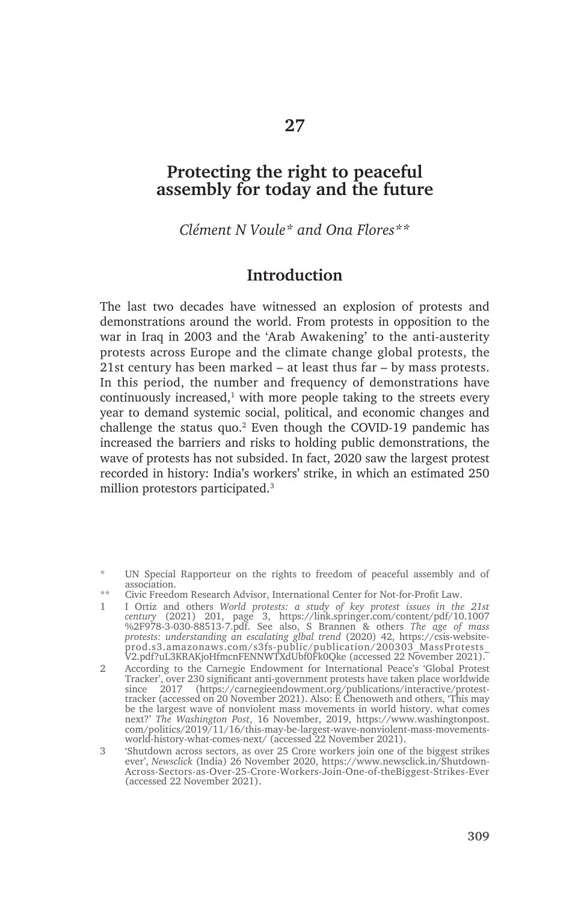# **Protecting the right to peaceful assembly for today and the future**

*Clément N Voule\* and Ona Flores\*\**

### **Introduction**

The last two decades have witnessed an explosion of protests and demonstrations around the world. From protests in opposition to the war in Iraq in 2003 and the 'Arab Awakening' to the anti-austerity protests across Europe and the climate change global protests, the 21st century has been marked – at least thus far – by mass protests. In this period, the number and frequency of demonstrations have continuously increased, $1$  with more people taking to the streets every year to demand systemic social, political, and economic changes and challenge the status quo.<sup>2</sup> Even though the COVID-19 pandemic has increased the barriers and risks to holding public demonstrations, the wave of protests has not subsided. In fact, 2020 saw the largest protest recorded in history: India's workers' strike, in which an estimated 250 million protestors participated.3

<sup>\*</sup> UN Special Rapporteur on the rights to freedom of peaceful assembly and of association.

<sup>\*\*</sup> Civic Freedom Research Advisor, International Center for Not-for-Profit Law.

<sup>1</sup> I Ortiz and others *World protests: a study of key protest issues in the 21st century* (2021) 201, page 3, https://link.springer.com/content/pdf/10.1007 %2F978-3-030-88513-7.pdf. See also, S Brannen & others *The age of mass protests: understanding an escalating glbal trend* (2020) 42, https://csis-websiteprod.s3.amazonaws.com/s3fs-public/publication/200303\_MassProtests\_ V2.pdf?uL3KRAKjoHfmcnFENNWTXdUbf0Fk0Qke (accessed 22 November 2021).

<sup>2</sup> According to the Carnegie Endowment for International Peace's 'Global Protest Tracker', over 230 significant anti-government protests have taken place worldwide since 2017 (https://carnegieendowment.org/publications/interactive/protesttracker (accessed on 20 November 2021). Also: E Chenoweth and others, 'This may be the largest wave of nonviolent mass movements in world history. what comes next?' *The Washington Post*, 16 November, 2019, https://www.washingtonpost. com/politics/2019/11/16/this-may-be-largest-wave-nonviolent-mass-movementsworld-history-what-comes-next/ (accessed 22 November 2021).

<sup>3</sup> 'Shutdown across sectors, as over 25 Crore workers join one of the biggest strikes ever', *Newsclick* (India) 26 November 2020, https://www.newsclick.in/Shutdown-Across-Sectors-as-Over-25-Crore-Workers-Join-One-of-theBiggest-Strikes-Ever (accessed 22 November 2021).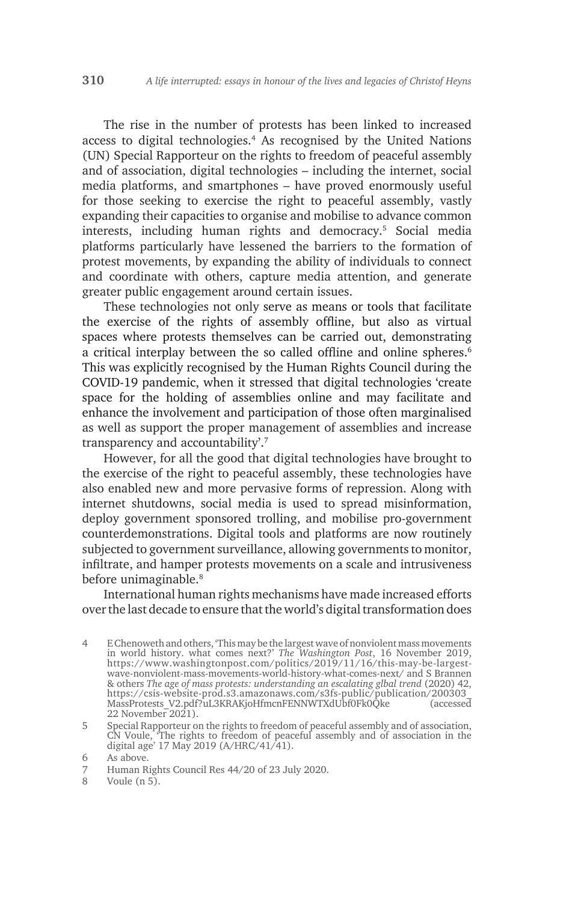The rise in the number of protests has been linked to increased access to digital technologies.4 As recognised by the United Nations (UN) Special Rapporteur on the rights to freedom of peaceful assembly and of association, digital technologies – including the internet, social media platforms, and smartphones – have proved enormously useful for those seeking to exercise the right to peaceful assembly, vastly expanding their capacities to organise and mobilise to advance common interests, including human rights and democracy.5 Social media platforms particularly have lessened the barriers to the formation of protest movements, by expanding the ability of individuals to connect and coordinate with others, capture media attention, and generate greater public engagement around certain issues.

These technologies not only serve as means or tools that facilitate the exercise of the rights of assembly offline, but also as virtual spaces where protests themselves can be carried out, demonstrating a critical interplay between the so called offline and online spheres.<sup>6</sup> This was explicitly recognised by the Human Rights Council during the COVID-19 pandemic, when it stressed that digital technologies 'create space for the holding of assemblies online and may facilitate and enhance the involvement and participation of those often marginalised as well as support the proper management of assemblies and increase transparency and accountability'. 7

However, for all the good that digital technologies have brought to the exercise of the right to peaceful assembly, these technologies have also enabled new and more pervasive forms of repression. Along with internet shutdowns, social media is used to spread misinformation, deploy government sponsored trolling, and mobilise pro-government counterdemonstrations. Digital tools and platforms are now routinely subjected to government surveillance, allowing governments to monitor, infiltrate, and hamper protests movements on a scale and intrusiveness before unimaginable.<sup>8</sup>

International human rights mechanisms have made increased efforts over the last decade to ensure that the world's digital transformation does

<sup>4</sup> E Chenoweth and others, 'This may be the largest wave of nonviolent mass movements in world history. what comes next?' *The Washington Post*, 16 November 2019, https://www.washingtonpost.com/politics/2019/11/16/this-may-be-largestwave-nonviolent-mass-movements-world-history-what-comes-next/ and S Brannen & others *The age of mass protests: understanding an escalating glbal trend* (2020) 42, https://csis-website-prod.s3.amazonaws.com/s3fs-public/publication/200303\_ MassProtests\_V2.pdf?uL3KRAKjoHfmcnFENNWTXdUbf0Fk0Qke (accessed 22 November 2021).

<sup>5</sup> Special Rapporteur on the rights to freedom of peaceful assembly and of association, CN Voule, 'The rights to freedom of peaceful assembly and of association in the digital age' 17 May 2019 (A/HRC/41/41).

<sup>6</sup> As above.

<sup>7</sup> Human Rights Council Res 44/20 of 23 July 2020.

<sup>8</sup> Voule (n 5).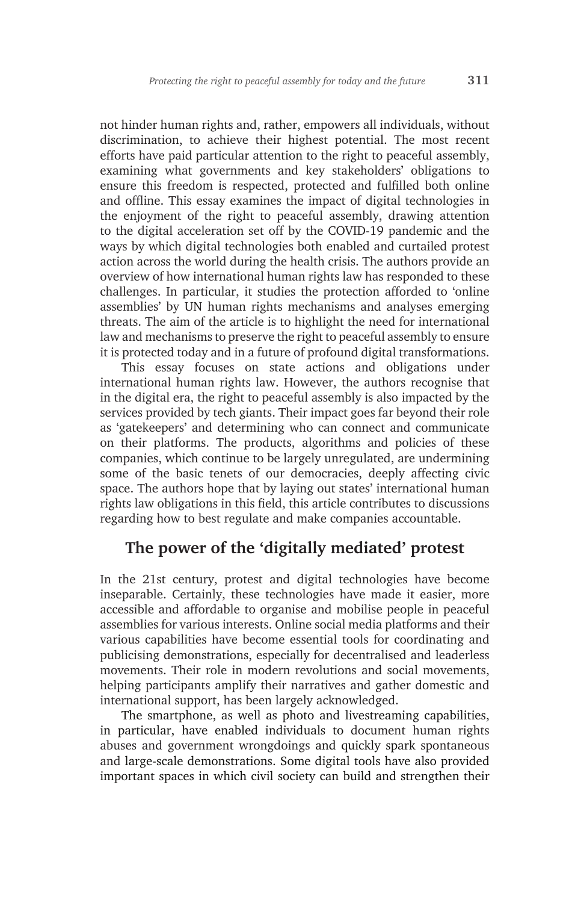not hinder human rights and, rather, empowers all individuals, without discrimination, to achieve their highest potential. The most recent efforts have paid particular attention to the right to peaceful assembly, examining what governments and key stakeholders' obligations to ensure this freedom is respected, protected and fulfilled both online and offline. This essay examines the impact of digital technologies in the enjoyment of the right to peaceful assembly, drawing attention to the digital acceleration set off by the COVID-19 pandemic and the ways by which digital technologies both enabled and curtailed protest action across the world during the health crisis. The authors provide an overview of how international human rights law has responded to these challenges. In particular, it studies the protection afforded to 'online assemblies' by UN human rights mechanisms and analyses emerging threats. The aim of the article is to highlight the need for international law and mechanisms to preserve the right to peaceful assembly to ensure it is protected today and in a future of profound digital transformations.

This essay focuses on state actions and obligations under international human rights law. However, the authors recognise that in the digital era, the right to peaceful assembly is also impacted by the services provided by tech giants. Their impact goes far beyond their role as 'gatekeepers' and determining who can connect and communicate on their platforms. The products, algorithms and policies of these companies, which continue to be largely unregulated, are undermining some of the basic tenets of our democracies, deeply affecting civic space. The authors hope that by laying out states' international human rights law obligations in this field, this article contributes to discussions regarding how to best regulate and make companies accountable.

## **The power of the 'digitally mediated' protest**

In the 21st century, protest and digital technologies have become inseparable. Certainly, these technologies have made it easier, more accessible and affordable to organise and mobilise people in peaceful assemblies for various interests. Online social media platforms and their various capabilities have become essential tools for coordinating and publicising demonstrations, especially for decentralised and leaderless movements. Their role in modern revolutions and social movements, helping participants amplify their narratives and gather domestic and international support, has been largely acknowledged.

The smartphone, as well as photo and livestreaming capabilities, in particular, have enabled individuals to document human rights abuses and government wrongdoings and quickly spark spontaneous and large-scale demonstrations. Some digital tools have also provided important spaces in which civil society can build and strengthen their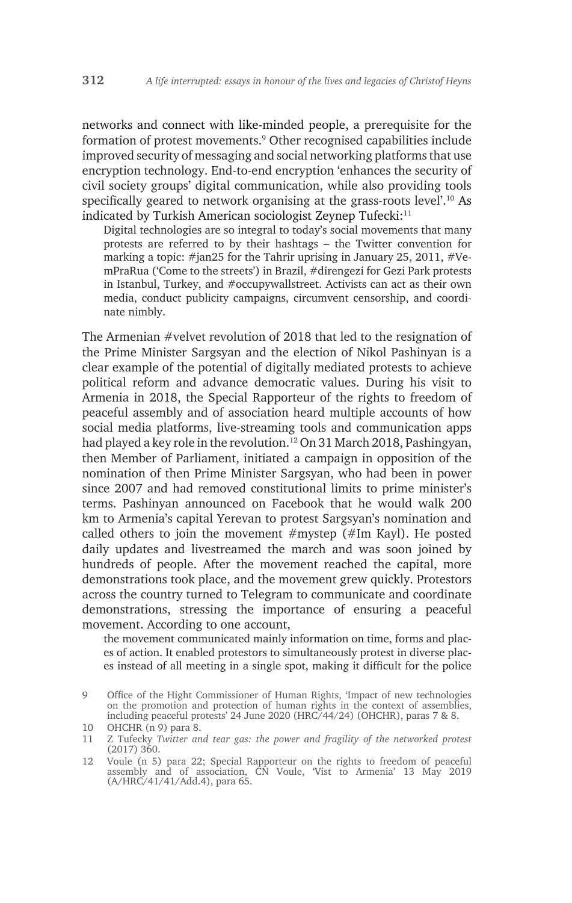networks and connect with like-minded people, a prerequisite for the formation of protest movements.9 Other recognised capabilities include improved security of messaging and social networking platforms that use encryption technology. End-to-end encryption 'enhances the security of civil society groups' digital communication, while also providing tools specifically geared to network organising at the grass-roots level'.<sup>10</sup> As indicated by Turkish American sociologist Zeynep Tufecki:<sup>11</sup>

Digital technologies are so integral to today's social movements that many protests are referred to by their hashtags – the Twitter convention for marking a topic: #jan25 for the Tahrir uprising in January 25, 2011, #VemPraRua ('Come to the streets') in Brazil, #direngezi for Gezi Park protests in Istanbul, Turkey, and #occupywallstreet. Activists can act as their own media, conduct publicity campaigns, circumvent censorship, and coordinate nimbly.

The Armenian #velvet revolution of 2018 that led to the resignation of the Prime Minister Sargsyan and the election of Nikol Pashinyan is a clear example of the potential of digitally mediated protests to achieve political reform and advance democratic values. During his visit to Armenia in 2018, the Special Rapporteur of the rights to freedom of peaceful assembly and of association heard multiple accounts of how social media platforms, live-streaming tools and communication apps had played a key role in the revolution.<sup>12</sup> On 31 March 2018, Pashingyan, then Member of Parliament, initiated a campaign in opposition of the nomination of then Prime Minister Sargsyan, who had been in power since 2007 and had removed constitutional limits to prime minister's terms. Pashinyan announced on Facebook that he would walk 200 km to Armenia's capital Yerevan to protest Sargsyan's nomination and called others to join the movement  $#$ mystep ( $#$ Im Kayl). He posted daily updates and livestreamed the march and was soon joined by hundreds of people. After the movement reached the capital, more demonstrations took place, and the movement grew quickly. Protestors across the country turned to Telegram to communicate and coordinate demonstrations, stressing the importance of ensuring a peaceful movement. According to one account,

the movement communicated mainly information on time, forms and places of action. It enabled protestors to simultaneously protest in diverse places instead of all meeting in a single spot, making it difficult for the police

<sup>9</sup> Office of the Hight Commissioner of Human Rights, 'Impact of new technologies on the promotion and protection of human rights in the context of assemblies, including peaceful protests' 24 June 2020 (HRC/44/24) (OHCHR), paras 7 & 8.

<sup>10</sup> OHCHR (n 9) para 8.

<sup>11</sup> Z Tufecky *Twitter and tear gas: the power and fragility of the networked protest* (2017) 360.

<sup>12</sup> Voule (n 5) para 22; Special Rapporteur on the rights to freedom of peaceful assembly and of association, CN Voule, 'Vist to Armenia' 13 May 2019 (A/HRC/41/41/Add.4), para 65.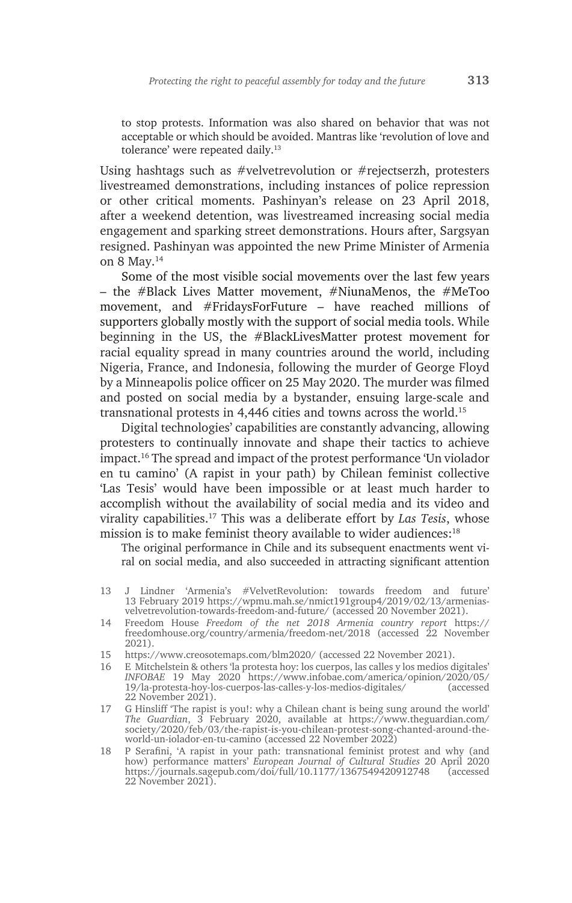to stop protests. Information was also shared on behavior that was not acceptable or which should be avoided. Mantras like 'revolution of love and tolerance' were repeated daily.<sup>13</sup>

Using hashtags such as #velvetrevolution or #rejectserzh, protesters livestreamed demonstrations, including instances of police repression or other critical moments. Pashinyan's release on 23 April 2018, after a weekend detention, was livestreamed increasing social media engagement and sparking street demonstrations. Hours after, Sargsyan resigned. Pashinyan was appointed the new Prime Minister of Armenia on 8 May.14

Some of the most visible social movements over the last few years – the #Black Lives Matter movement, #NiunaMenos, the #MeToo movement, and #FridaysForFuture – have reached millions of supporters globally mostly with the support of social media tools. While beginning in the US, the #BlackLivesMatter protest movement for racial equality spread in many countries around the world, including Nigeria, France, and Indonesia, following the murder of George Floyd by a Minneapolis police officer on 25 May 2020. The murder was filmed and posted on social media by a bystander, ensuing large-scale and transnational protests in 4,446 cities and towns across the world.15

Digital technologies' capabilities are constantly advancing, allowing protesters to continually innovate and shape their tactics to achieve impact.16 The spread and impact of the protest performance 'Un violador en tu camino' (A rapist in your path) by Chilean feminist collective 'Las Tesis' would have been impossible or at least much harder to accomplish without the availability of social media and its video and virality capabilities.17 This was a deliberate effort by *Las Tesis*, whose mission is to make feminist theory available to wider audiences:<sup>18</sup>

The original performance in Chile and its subsequent enactments went viral on social media, and also succeeded in attracting significant attention

- 13 J Lindner 'Armenia's #VelvetRevolution: towards freedom and future' 13 February 2019 https://wpmu.mah.se/nmict191group4/2019/02/13/armeniasvelvetrevolution-towards-freedom-and-future/ (accessed 20 November 2021).
- 14 Freedom House *Freedom of the net 2018 Armenia country report* https:// freedomhouse.org/country/armenia/freedom-net/2018 (accessed 22 November 2021).
- 15 https://www.creosotemaps.com/blm2020/ (accessed 22 November 2021).
- 16 E Mitchelstein & others 'la protesta hoy: los cuerpos, las calles y los medios digitales' *INFOBAE* 19 May 2020 https://www.infobae.com/america/opinion/2020/05/ 19/la-protesta-hoy-los-cuerpos-las-calles-y-los-medios-digitales/ 22 November 2021).
- 17 G Hinsliff 'The rapist is you!: why a Chilean chant is being sung around the world' *The Guardian*, 3 February 2020, available at https://www.theguardian.com/ society/2020/feb/03/the-rapist-is-you-chilean-protest-song-chanted-around-theworld-un-iolador-en-tu-camino (accessed 22 November 2022)
- 18 P Serafini, 'A rapist in your path: transnational feminist protest and why (and how) performance matters' *European Journal of Cultural Studies* 20 April 2020 https://journals.sagepub.com/doi/full/10.1177/1367549420912748 (accessed 22 November 2021).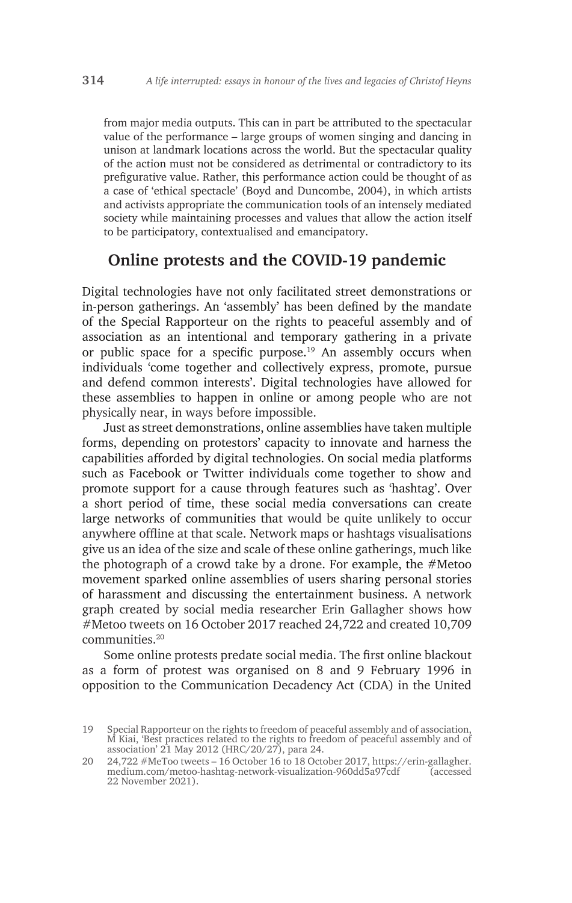from major media outputs. This can in part be attributed to the spectacular value of the performance – large groups of women singing and dancing in unison at landmark locations across the world. But the spectacular quality of the action must not be considered as detrimental or contradictory to its prefigurative value. Rather, this performance action could be thought of as a case of 'ethical spectacle' (Boyd and Duncombe, 2004), in which artists and activists appropriate the communication tools of an intensely mediated society while maintaining processes and values that allow the action itself to be participatory, contextualised and emancipatory.

## **Online protests and the COVID-19 pandemic**

Digital technologies have not only facilitated street demonstrations or in-person gatherings. An 'assembly' has been defined by the mandate of the Special Rapporteur on the rights to peaceful assembly and of association as an intentional and temporary gathering in a private or public space for a specific purpose.<sup>19</sup> An assembly occurs when individuals 'come together and collectively express, promote, pursue and defend common interests'. Digital technologies have allowed for these assemblies to happen in online or among people who are not physically near, in ways before impossible.

Just as street demonstrations, online assemblies have taken multiple forms, depending on protestors' capacity to innovate and harness the capabilities afforded by digital technologies. On social media platforms such as Facebook or Twitter individuals come together to show and promote support for a cause through features such as 'hashtag'. Over a short period of time, these social media conversations can create large networks of communities that would be quite unlikely to occur anywhere offline at that scale. Network maps or hashtags visualisations give us an idea of the size and scale of these online gatherings, much like the photograph of a crowd take by a drone. For example, the  $#$ Metoo movement sparked online assemblies of users sharing personal stories of harassment and discussing the entertainment business. A network graph created by social media researcher Erin Gallagher shows how #Metoo tweets on 16 October 2017 reached 24,722 and created 10,709 communities.20

Some online protests predate social media. The first online blackout as a form of protest was organised on 8 and 9 February 1996 in opposition to the Communication Decadency Act (CDA) in the United

<sup>19</sup> Special Rapporteur on the rights to freedom of peaceful assembly and of association, M Kiai, 'Best practices related to the rights to freedom of peaceful assembly and of association' 21 May 2012 (HRC/20/27), para 24.

<sup>20</sup> 24,722 #MeToo tweets – 16 October 16 to 18 October 2017, https://erin-gallagher. medium.com/metoo-hashtag-network-visualization-960dd5a97cdf (accessed 22 November 2021).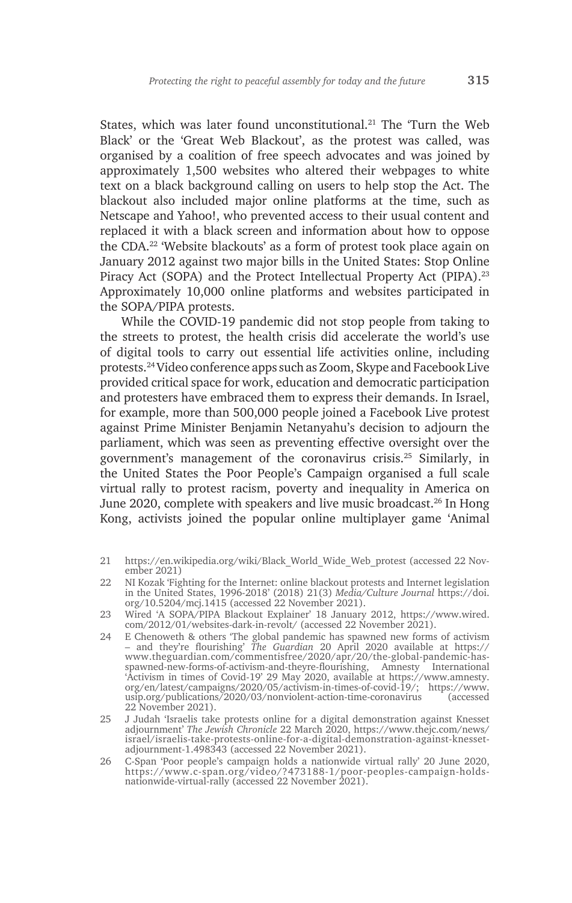States, which was later found unconstitutional.<sup>21</sup> The 'Turn the Web Black' or the 'Great Web Blackout', as the protest was called, was organised by a coalition of free speech advocates and was joined by approximately 1,500 websites who altered their webpages to white text on a black background calling on users to help stop the Act. The blackout also included major online platforms at the time, such as Netscape and Yahoo!, who prevented access to their usual content and replaced it with a black screen and information about how to oppose the CDA.<sup>22</sup> 'Website blackouts' as a form of protest took place again on January 2012 against two major bills in the United States: Stop Online Piracy Act (SOPA) and the Protect Intellectual Property Act (PIPA).<sup>23</sup> Approximately 10,000 online platforms and websites participated in the SOPA/PIPA protests.

While the COVID-19 pandemic did not stop people from taking to the streets to protest, the health crisis did accelerate the world's use of digital tools to carry out essential life activities online, including protests.24 Video conference apps such as Zoom, Skype and Facebook Live provided critical space for work, education and democratic participation and protesters have embraced them to express their demands. In Israel, for example, more than 500,000 people joined a Facebook Live protest against Prime Minister Benjamin Netanyahu's decision to adjourn the parliament, which was seen as preventing effective oversight over the government's management of the coronavirus crisis.25 Similarly, in the United States the Poor People's Campaign organised a full scale virtual rally to protest racism, poverty and inequality in America on June 2020, complete with speakers and live music broadcast.<sup>26</sup> In Hong Kong, activists joined the popular online multiplayer game 'Animal

- 21 https://en.wikipedia.org/wiki/Black\_World\_Wide\_Web\_protest (accessed 22 November 2021)
- 22 NI Kozak 'Fighting for the Internet: online blackout protests and Internet legislation in the United States, 1996-2018' (2018) 21(3) *Media/Culture Journal* https://doi. org/10.5204/mcj.1415 (accessed 22 November 2021).
- 23 Wired 'A SOPA/PIPA Blackout Explainer' 18 January 2012, https://www.wired. com/2012/01/websites-dark-in-revolt/ (accessed 22 November 2021).
- 24 E Chenoweth & others 'The global pandemic has spawned new forms of activism – and they're flourishing' *The Guardian* 20 April 2020 available at https:// www.theguardian.com/commentisfree/2020/apr/20/the-global-pandemic-hasspawned-new-forms-of-activism-and-theyre-flourishing, Amnesty International 'Activism in times of Covid-19' 29 May 2020, available at https://www.amnesty. org/en/latest/campaigns/2020/05/activism-in-times-of-covid-19/; https://www. usip.org/publications/2020/03/nonviolent-action-time-coronavirus (accessed 22 November 2021).
- 25 J Judah 'Israelis take protests online for a digital demonstration against Knesset adjournment' *The Jewish Chronicle* 22 March 2020, https://www.thejc.com/news/ israel/israelis-take-protests-online-for-a-digital-demonstration-against-knessetadjournment-1.498343 (accessed 22 November 2021).
- 26 C-Span 'Poor people's campaign holds a nationwide virtual rally' 20 June 2020, https://www.c-span.org/video/?473188-1/poor-peoples-campaign-holdsnationwide-virtual-rally (accessed 22 November 2021).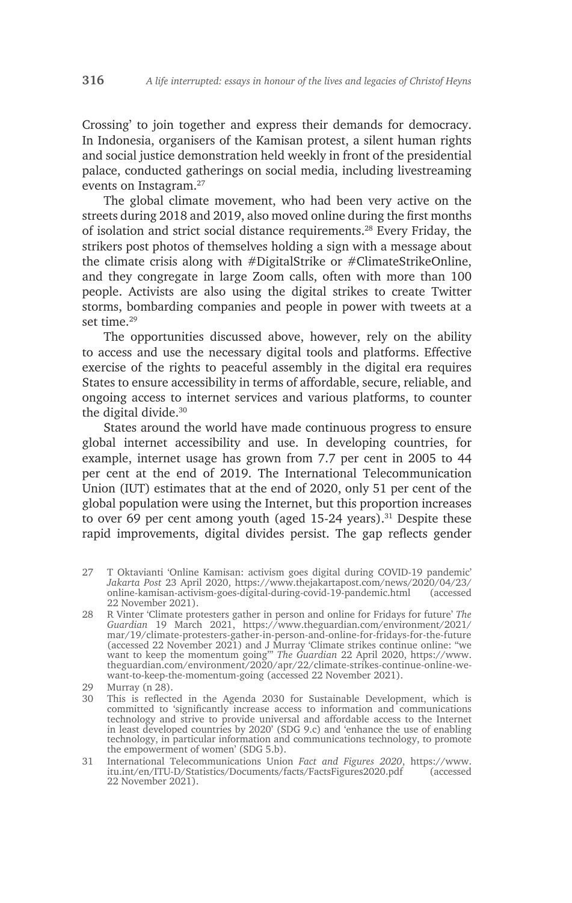Crossing' to join together and express their demands for democracy. In Indonesia, organisers of the Kamisan protest, a silent human rights and social justice demonstration held weekly in front of the presidential palace, conducted gatherings on social media, including livestreaming events on Instagram.27

The global climate movement, who had been very active on the streets during 2018 and 2019, also moved online during the first months of isolation and strict social distance requirements.28 Every Friday, the strikers post photos of themselves holding a sign with a message about the climate crisis along with #DigitalStrike or #ClimateStrikeOnline, and they congregate in large Zoom calls, often with more than 100 people. Activists are also using the digital strikes to create Twitter storms, bombarding companies and people in power with tweets at a set time.<sup>29</sup>

The opportunities discussed above, however, rely on the ability to access and use the necessary digital tools and platforms. Effective exercise of the rights to peaceful assembly in the digital era requires States to ensure accessibility in terms of affordable, secure, reliable, and ongoing access to internet services and various platforms, to counter the digital divide.<sup>30</sup>

States around the world have made continuous progress to ensure global internet accessibility and use. In developing countries, for example, internet usage has grown from 7.7 per cent in 2005 to 44 per cent at the end of 2019. The International Telecommunication Union (IUT) estimates that at the end of 2020, only 51 per cent of the global population were using the Internet, but this proportion increases to over 69 per cent among youth (aged  $15-24$  years).<sup>31</sup> Despite these rapid improvements, digital divides persist. The gap reflects gender

- 27 T Oktavianti 'Online Kamisan: activism goes digital during COVID-19 pandemic' *Jakarta Post* 23 April 2020, https://www.thejakartapost.com/news/2020/04/23/ online-kamisan-activism-goes-digital-during-covid-19-pandemic.html (accessed 22 November 2021).
- 28 R Vinter 'Climate protesters gather in person and online for Fridays for future' *The Guardian* 19 March 2021, https://www.theguardian.com/environment/2021/ mar/19/climate-protesters-gather-in-person-and-online-for-fridays-for-the-future (accessed 22 November 2021) and J Murray 'Climate strikes continue online: "we want to keep the momentum going"' *The Guardian* 22 April 2020, https://www. theguardian.com/environment/2020/apr/22/climate-strikes-continue-online-wewant-to-keep-the-momentum-going (accessed 22 November 2021).
- 29 Murray (n 28).
- 30 This is reflected in the Agenda 2030 for Sustainable Development, which is committed to 'significantly increase access to information and communications technology and strive to provide universal and affordable access to the Internet in least developed countries by 2020' (SDG 9.c) and 'enhance the use of enabling technology, in particular information and communications technology, to promote the empowerment of women' (SDG 5.b).
- 31 International Telecommunications Union *Fact and Figures 2020*, https://www. itu.int/en/ITU-D/Statistics/Documents/facts/FactsFigures2020.pdf (accessed 22 November 2021).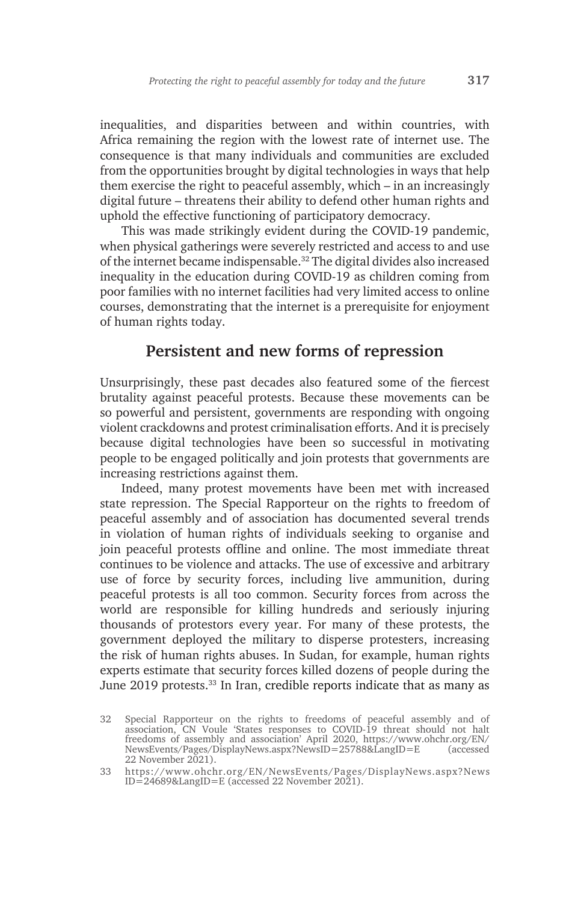inequalities, and disparities between and within countries, with Africa remaining the region with the lowest rate of internet use. The consequence is that many individuals and communities are excluded from the opportunities brought by digital technologies in ways that help them exercise the right to peaceful assembly, which – in an increasingly digital future – threatens their ability to defend other human rights and uphold the effective functioning of participatory democracy.

This was made strikingly evident during the COVID-19 pandemic, when physical gatherings were severely restricted and access to and use of the internet became indispensable.32 The digital divides also increased inequality in the education during COVID-19 as children coming from poor families with no internet facilities had very limited access to online courses, demonstrating that the internet is a prerequisite for enjoyment of human rights today.

## **Persistent and new forms of repression**

Unsurprisingly, these past decades also featured some of the fiercest brutality against peaceful protests. Because these movements can be so powerful and persistent, governments are responding with ongoing violent crackdowns and protest criminalisation efforts. And it is precisely because digital technologies have been so successful in motivating people to be engaged politically and join protests that governments are increasing restrictions against them.

Indeed, many protest movements have been met with increased state repression. The Special Rapporteur on the rights to freedom of peaceful assembly and of association has documented several trends in violation of human rights of individuals seeking to organise and join peaceful protests offline and online. The most immediate threat continues to be violence and attacks. The use of excessive and arbitrary use of force by security forces, including live ammunition, during peaceful protests is all too common. Security forces from across the world are responsible for killing hundreds and seriously injuring thousands of protestors every year. For many of these protests, the government deployed the military to disperse protesters, increasing the risk of human rights abuses. In Sudan, for example, human rights experts estimate that security forces killed dozens of people during the June 2019 protests.<sup>33</sup> In Iran, credible reports indicate that as many as

<sup>32</sup> Special Rapporteur on the rights to freedoms of peaceful assembly and of association, CN Voule 'States responses to COVID-19 threat should not halt freedoms of assembly and association' April 2020, https://www.ohchr.org/EN/ NewsEvents/Pages/DisplayNews.aspx?NewsID=25788&LangID=E (accessed 22 November 2021).

<sup>33</sup> https://www.ohchr.org/EN/NewsEvents/Pages/DisplayNews.aspx?News ID=24689&LangID=E (accessed 22 November 2021).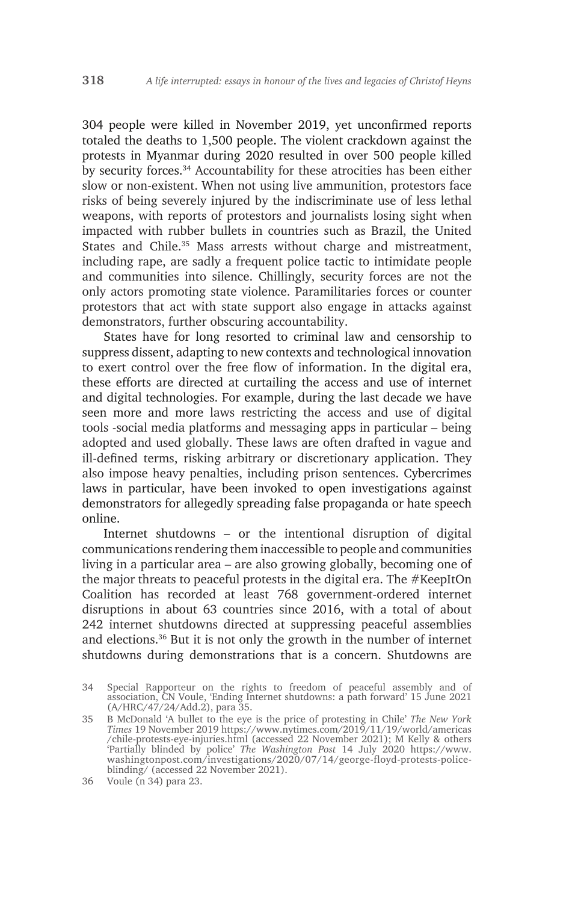304 people were killed in November 2019, yet unconfirmed reports totaled the deaths to 1,500 people. The violent crackdown against the protests in Myanmar during 2020 resulted in over 500 people killed by security forces.34 Accountability for these atrocities has been either slow or non-existent. When not using live ammunition, protestors face risks of being severely injured by the indiscriminate use of less lethal weapons, with reports of protestors and journalists losing sight when impacted with rubber bullets in countries such as Brazil, the United States and Chile.<sup>35</sup> Mass arrests without charge and mistreatment, including rape, are sadly a frequent police tactic to intimidate people and communities into silence. Chillingly, security forces are not the only actors promoting state violence. Paramilitaries forces or counter protestors that act with state support also engage in attacks against demonstrators, further obscuring accountability.

States have for long resorted to criminal law and censorship to suppress dissent, adapting to new contexts and technological innovation to exert control over the free flow of information. In the digital era, these efforts are directed at curtailing the access and use of internet and digital technologies. For example, during the last decade we have seen more and more laws restricting the access and use of digital tools -social media platforms and messaging apps in particular – being adopted and used globally. These laws are often drafted in vague and ill-defined terms, risking arbitrary or discretionary application. They also impose heavy penalties, including prison sentences. Cybercrimes laws in particular, have been invoked to open investigations against demonstrators for allegedly spreading false propaganda or hate speech online.

Internet shutdowns – or the intentional disruption of digital communications rendering them inaccessible to people and communities living in a particular area – are also growing globally, becoming one of the major threats to peaceful protests in the digital era. The #KeepItOn Coalition has recorded at least 768 government-ordered internet disruptions in about 63 countries since 2016, with a total of about 242 internet shutdowns directed at suppressing peaceful assemblies and elections.36 But it is not only the growth in the number of internet shutdowns during demonstrations that is a concern. Shutdowns are

<sup>34</sup> Special Rapporteur on the rights to freedom of peaceful assembly and of association, CN Voule, 'Ending Internet shutdowns: a path forward' 15 June 2021 (A/HRC/47/24/Add.2), para 35.

<sup>35</sup> B McDonald 'A bullet to the eye is the price of protesting in Chile' *The New York Times* 19 November 2019 https://www.nytimes.com/2019/11/19/world/americas /chile-protests-eye-injuries.html (accessed 22 November 2021); M Kelly & others 'Partially blinded by police' *The Washington Post* 14 July 2020 https://www. washingtonpost.com/investigations/2020/07/14/george-floyd-protests-policeblinding/ (accessed 22 November 2021).

<sup>36</sup> Voule (n 34) para 23.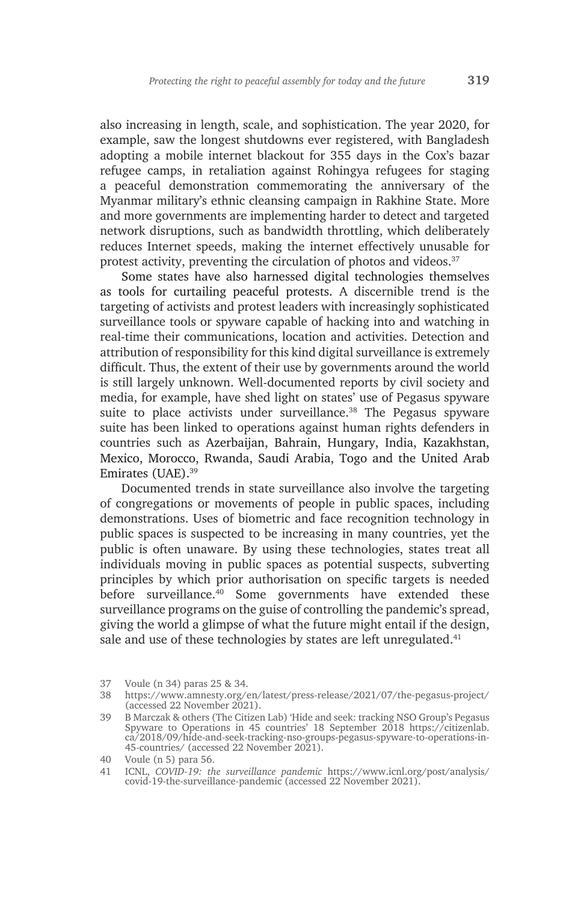also increasing in length, scale, and sophistication. The year 2020, for example, saw the longest shutdowns ever registered, with Bangladesh adopting a mobile internet blackout for 355 days in the Cox's bazar refugee camps, in retaliation against Rohingya refugees for staging a peaceful demonstration commemorating the anniversary of the Myanmar military's ethnic cleansing campaign in Rakhine State. More and more governments are implementing harder to detect and targeted network disruptions, such as bandwidth throttling, which deliberately reduces Internet speeds, making the internet effectively unusable for protest activity, preventing the circulation of photos and videos.<sup>37</sup>

Some states have also harnessed digital technologies themselves as tools for curtailing peaceful protests. A discernible trend is the targeting of activists and protest leaders with increasingly sophisticated surveillance tools or spyware capable of hacking into and watching in real-time their communications, location and activities. Detection and attribution of responsibility for this kind digital surveillance is extremely difficult. Thus, the extent of their use by governments around the world is still largely unknown. Well-documented reports by civil society and media, for example, have shed light on states' use of Pegasus spyware suite to place activists under surveillance.<sup>38</sup> The Pegasus spyware suite has been linked to operations against human rights defenders in countries such as Azerbaijan, Bahrain, Hungary, India, Kazakhstan, Mexico, Morocco, Rwanda, Saudi Arabia, Togo and the United Arab Emirates (UAE).39

Documented trends in state surveillance also involve the targeting of congregations or movements of people in public spaces, including demonstrations. Uses of biometric and face recognition technology in public spaces is suspected to be increasing in many countries, yet the public is often unaware. By using these technologies, states treat all individuals moving in public spaces as potential suspects, subverting principles by which prior authorisation on specific targets is needed before surveillance.40 Some governments have extended these surveillance programs on the guise of controlling the pandemic's spread, giving the world a glimpse of what the future might entail if the design, sale and use of these technologies by states are left unregulated.<sup>41</sup>

<sup>37</sup> Voule (n 34) paras 25 & 34.

<sup>38</sup> https://www.amnesty.org/en/latest/press-release/2021/07/the-pegasus-project/ (accessed 22 November 2021).

<sup>39</sup> B Marczak & others (The Citizen Lab) 'Hide and seek: tracking NSO Group's Pegasus Spyware to Operations in 45 countries' 18 September 2018 https://citizenlab. ca/2018/09/hide-and-seek-tracking-nso-groups-pegasus-spyware-to-operations-in-45-countries/ (accessed 22 November 2021).

<sup>40</sup> Voule (n 5) para 56.

<sup>41</sup> ICNL, *COVID-19: the surveillance pandemic* https://www.icnl.org/post/analysis/ covid-19-the-surveillance-pandemic (accessed 22 November 2021).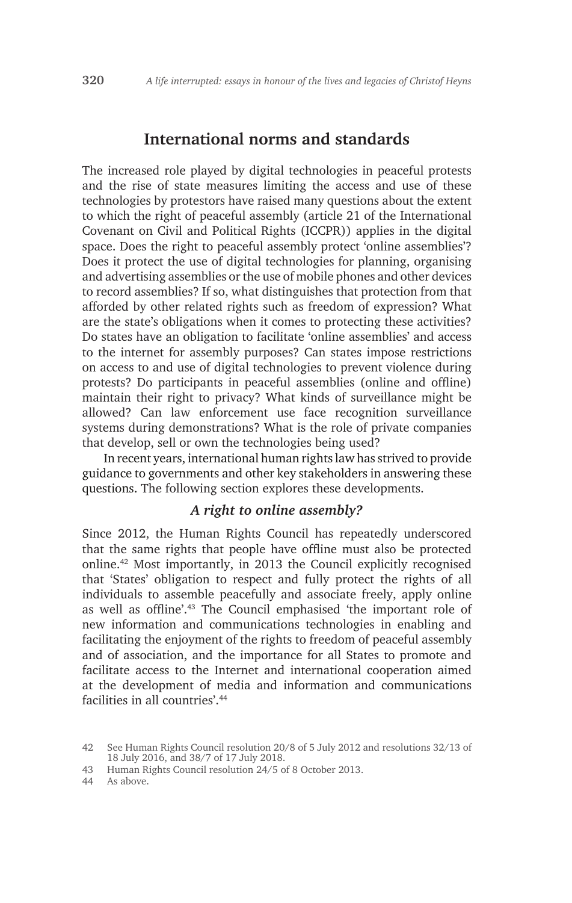### **International norms and standards**

The increased role played by digital technologies in peaceful protests and the rise of state measures limiting the access and use of these technologies by protestors have raised many questions about the extent to which the right of peaceful assembly (article 21 of the International Covenant on Civil and Political Rights (ICCPR)) applies in the digital space. Does the right to peaceful assembly protect 'online assemblies'? Does it protect the use of digital technologies for planning, organising and advertising assemblies or the use of mobile phones and other devices to record assemblies? If so, what distinguishes that protection from that afforded by other related rights such as freedom of expression? What are the state's obligations when it comes to protecting these activities? Do states have an obligation to facilitate 'online assemblies' and access to the internet for assembly purposes? Can states impose restrictions on access to and use of digital technologies to prevent violence during protests? Do participants in peaceful assemblies (online and offline) maintain their right to privacy? What kinds of surveillance might be allowed? Can law enforcement use face recognition surveillance systems during demonstrations? What is the role of private companies that develop, sell or own the technologies being used?

In recent years, international human rights law has strived to provide guidance to governments and other key stakeholders in answering these questions. The following section explores these developments.

#### *A right to online assembly?*

Since 2012, the Human Rights Council has repeatedly underscored that the same rights that people have offline must also be protected online.42 Most importantly, in 2013 the Council explicitly recognised that 'States' obligation to respect and fully protect the rights of all individuals to assemble peacefully and associate freely, apply online as well as offline'.43 The Council emphasised 'the important role of new information and communications technologies in enabling and facilitating the enjoyment of the rights to freedom of peaceful assembly and of association, and the importance for all States to promote and facilitate access to the Internet and international cooperation aimed at the development of media and information and communications facilities in all countries' 44

<sup>42</sup> See Human Rights Council resolution 20/8 of 5 July 2012 and resolutions 32/13 of 18 July 2016, and 38/7 of 17 July 2018.

<sup>43</sup> Human Rights Council resolution 24/5 of 8 October 2013.

<sup>44</sup> As above.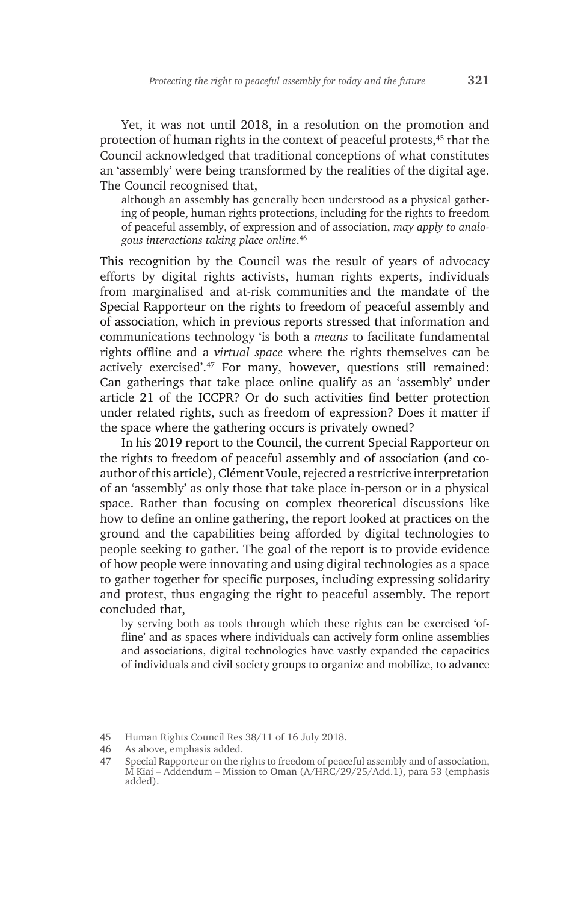Yet, it was not until 2018, in a resolution on the promotion and protection of human rights in the context of peaceful protests,45 that the Council acknowledged that traditional conceptions of what constitutes an 'assembly' were being transformed by the realities of the digital age. The Council recognised that,

although an assembly has generally been understood as a physical gathering of people, human rights protections, including for the rights to freedom of peaceful assembly, of expression and of association, *may apply to analogous interactions taking place online*. 46

This recognition by the Council was the result of years of advocacy efforts by digital rights activists, human rights experts, individuals from marginalised and at-risk communities and the mandate of the Special Rapporteur on the rights to freedom of peaceful assembly and of association, which in previous reports stressed that information and communications technology 'is both a *means* to facilitate fundamental rights offline and a *virtual space* where the rights themselves can be actively exercised'.47 For many, however, questions still remained: Can gatherings that take place online qualify as an 'assembly' under article 21 of the ICCPR? Or do such activities find better protection under related rights, such as freedom of expression? Does it matter if the space where the gathering occurs is privately owned?

In his 2019 report to the Council, the current Special Rapporteur on the rights to freedom of peaceful assembly and of association (and coauthor of this article), Clément Voule, rejected a restrictive interpretation of an 'assembly' as only those that take place in-person or in a physical space. Rather than focusing on complex theoretical discussions like how to define an online gathering, the report looked at practices on the ground and the capabilities being afforded by digital technologies to people seeking to gather. The goal of the report is to provide evidence of how people were innovating and using digital technologies as a space to gather together for specific purposes, including expressing solidarity and protest, thus engaging the right to peaceful assembly. The report concluded that,

by serving both as tools through which these rights can be exercised 'offline' and as spaces where individuals can actively form online assemblies and associations, digital technologies have vastly expanded the capacities of individuals and civil society groups to organize and mobilize, to advance

<sup>45</sup> Human Rights Council Res 38/11 of 16 July 2018.

<sup>46</sup> As above, emphasis added.

<sup>47</sup> Special Rapporteur on the rights to freedom of peaceful assembly and of association, M Kiai – Addendum – Mission to Oman (A/HRC/29/25/Add.1), para 53 (emphasis added).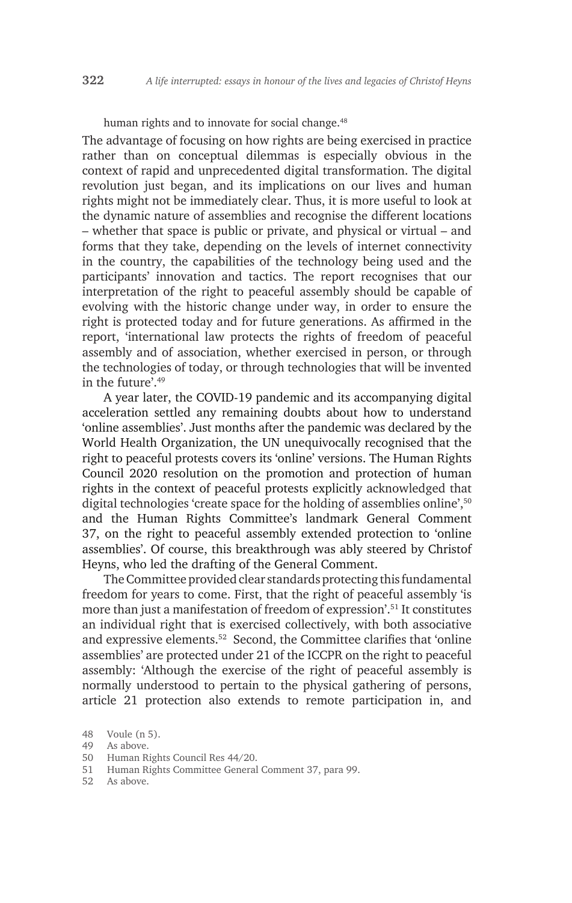human rights and to innovate for social change.<sup>48</sup>

The advantage of focusing on how rights are being exercised in practice rather than on conceptual dilemmas is especially obvious in the context of rapid and unprecedented digital transformation. The digital revolution just began, and its implications on our lives and human rights might not be immediately clear. Thus, it is more useful to look at the dynamic nature of assemblies and recognise the different locations – whether that space is public or private, and physical or virtual – and forms that they take, depending on the levels of internet connectivity in the country, the capabilities of the technology being used and the participants' innovation and tactics. The report recognises that our interpretation of the right to peaceful assembly should be capable of evolving with the historic change under way, in order to ensure the right is protected today and for future generations. As affirmed in the report, 'international law protects the rights of freedom of peaceful assembly and of association, whether exercised in person, or through the technologies of today, or through technologies that will be invented in the future'.49

A year later, the COVID-19 pandemic and its accompanying digital acceleration settled any remaining doubts about how to understand 'online assemblies'. Just months after the pandemic was declared by the World Health Organization, the UN unequivocally recognised that the right to peaceful protests covers its 'online' versions. The Human Rights Council 2020 resolution on the promotion and protection of human rights in the context of peaceful protests explicitly acknowledged that digital technologies 'create space for the holding of assemblies online',<sup>50</sup> and the Human Rights Committee's landmark General Comment 37, on the right to peaceful assembly extended protection to 'online assemblies'. Of course, this breakthrough was ably steered by Christof Heyns, who led the drafting of the General Comment.

The Committee provided clear standards protecting this fundamental freedom for years to come. First, that the right of peaceful assembly 'is more than just a manifestation of freedom of expression'.<sup>51</sup> It constitutes an individual right that is exercised collectively, with both associative and expressive elements.52 Second, the Committee clarifies that 'online assemblies' are protected under 21 of the ICCPR on the right to peaceful assembly: 'Although the exercise of the right of peaceful assembly is normally understood to pertain to the physical gathering of persons, article 21 protection also extends to remote participation in, and

<sup>48</sup> Voule (n 5).

<sup>49</sup> As above.

<sup>50</sup> Human Rights Council Res 44/20.

<sup>51</sup> Human Rights Committee General Comment 37, para 99.

<sup>52</sup> As above.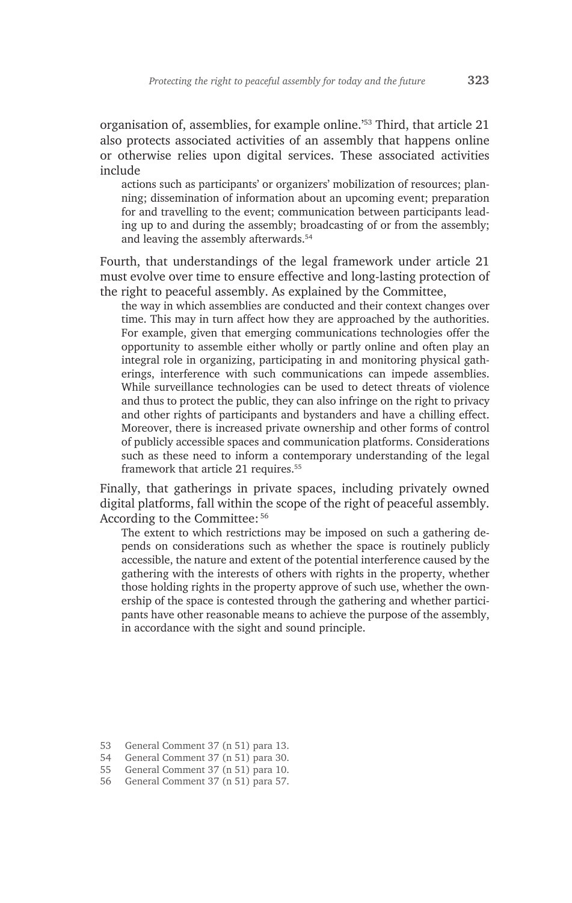organisation of, assemblies, for example online.'53 Third, that article 21 also protects associated activities of an assembly that happens online or otherwise relies upon digital services. These associated activities include

actions such as participants' or organizers' mobilization of resources; planning; dissemination of information about an upcoming event; preparation for and travelling to the event; communication between participants leading up to and during the assembly; broadcasting of or from the assembly; and leaving the assembly afterwards.<sup>54</sup>

Fourth, that understandings of the legal framework under article 21 must evolve over time to ensure effective and long-lasting protection of the right to peaceful assembly. As explained by the Committee,

the way in which assemblies are conducted and their context changes over time. This may in turn affect how they are approached by the authorities. For example, given that emerging communications technologies offer the opportunity to assemble either wholly or partly online and often play an integral role in organizing, participating in and monitoring physical gatherings, interference with such communications can impede assemblies. While surveillance technologies can be used to detect threats of violence and thus to protect the public, they can also infringe on the right to privacy and other rights of participants and bystanders and have a chilling effect. Moreover, there is increased private ownership and other forms of control of publicly accessible spaces and communication platforms. Considerations such as these need to inform a contemporary understanding of the legal framework that article 21 requires.<sup>55</sup>

Finally, that gatherings in private spaces, including privately owned digital platforms, fall within the scope of the right of peaceful assembly. According to the Committee: <sup>56</sup>

The extent to which restrictions may be imposed on such a gathering depends on considerations such as whether the space is routinely publicly accessible, the nature and extent of the potential interference caused by the gathering with the interests of others with rights in the property, whether those holding rights in the property approve of such use, whether the ownership of the space is contested through the gathering and whether participants have other reasonable means to achieve the purpose of the assembly, in accordance with the sight and sound principle.

<sup>53</sup> General Comment 37 (n 51) para 13.

<sup>54</sup> General Comment 37 (n 51) para 30.

<sup>55</sup> General Comment 37 (n 51) para 10.

<sup>56</sup> General Comment 37 (n 51) para 57.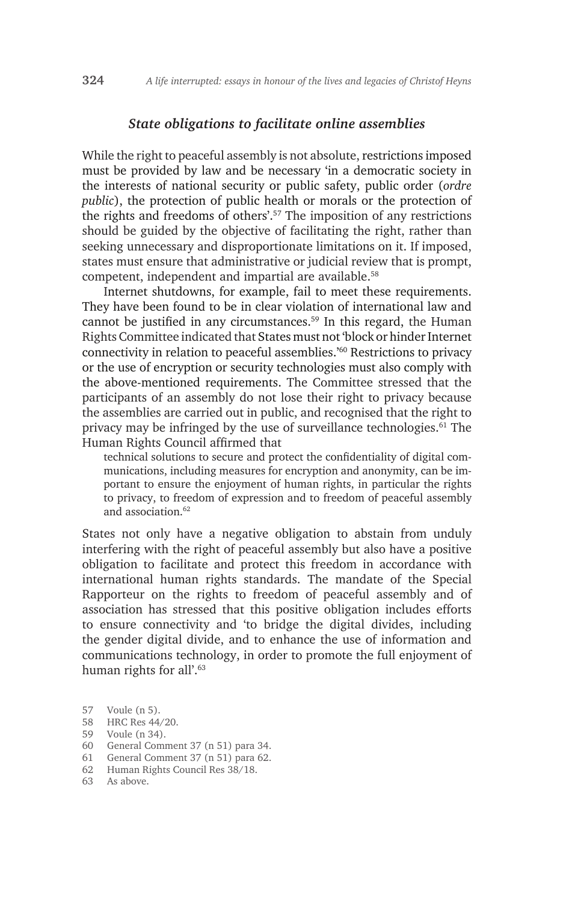#### *State obligations to facilitate online assemblies*

While the right to peaceful assembly is not absolute, restrictions imposed must be provided by law and be necessary 'in a democratic society in the interests of national security or public safety, public order (*ordre public*), the protection of public health or morals or the protection of the rights and freedoms of others'.57 The imposition of any restrictions should be guided by the objective of facilitating the right, rather than seeking unnecessary and disproportionate limitations on it. If imposed, states must ensure that administrative or judicial review that is prompt, competent, independent and impartial are available.<sup>58</sup>

Internet shutdowns, for example, fail to meet these requirements. They have been found to be in clear violation of international law and cannot be justified in any circumstances.<sup>59</sup> In this regard, the Human Rights Committee indicated that States must not 'block or hinder Internet connectivity in relation to peaceful assemblies.'60 Restrictions to privacy or the use of encryption or security technologies must also comply with the above-mentioned requirements. The Committee stressed that the participants of an assembly do not lose their right to privacy because the assemblies are carried out in public, and recognised that the right to privacy may be infringed by the use of surveillance technologies.61 The Human Rights Council affirmed that

technical solutions to secure and protect the confidentiality of digital communications, including measures for encryption and anonymity, can be important to ensure the enjoyment of human rights, in particular the rights to privacy, to freedom of expression and to freedom of peaceful assembly and association.<sup>62</sup>

States not only have a negative obligation to abstain from unduly interfering with the right of peaceful assembly but also have a positive obligation to facilitate and protect this freedom in accordance with international human rights standards. The mandate of the Special Rapporteur on the rights to freedom of peaceful assembly and of association has stressed that this positive obligation includes efforts to ensure connectivity and 'to bridge the digital divides, including the gender digital divide, and to enhance the use of information and communications technology, in order to promote the full enjoyment of human rights for all'.<sup>63</sup>

- 58 HRC Res 44/20.
- 59 Voule (n 34).
- 60 General Comment 37 (n 51) para 34.
- 61 General Comment 37 (n 51) para 62.
- 62 Human Rights Council Res 38/18.
- 63 As above.

<sup>57</sup> Voule (n 5).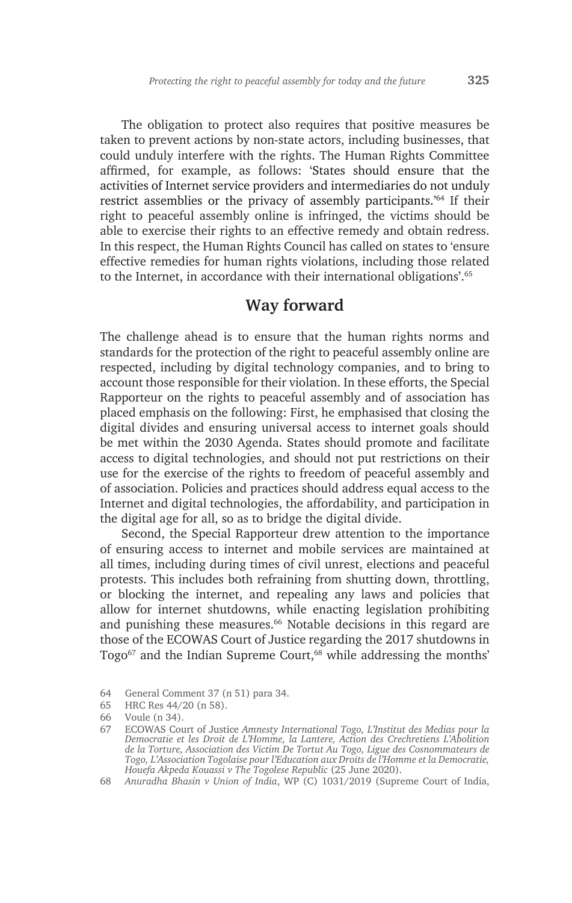The obligation to protect also requires that positive measures be taken to prevent actions by non-state actors, including businesses, that could unduly interfere with the rights. The Human Rights Committee affirmed, for example, as follows: 'States should ensure that the activities of Internet service providers and intermediaries do not unduly restrict assemblies or the privacy of assembly participants.'64 If their right to peaceful assembly online is infringed, the victims should be able to exercise their rights to an effective remedy and obtain redress. In this respect, the Human Rights Council has called on states to 'ensure effective remedies for human rights violations, including those related to the Internet, in accordance with their international obligations'.65

## **Way forward**

The challenge ahead is to ensure that the human rights norms and standards for the protection of the right to peaceful assembly online are respected, including by digital technology companies, and to bring to account those responsible for their violation. In these efforts, the Special Rapporteur on the rights to peaceful assembly and of association has placed emphasis on the following: First, he emphasised that closing the digital divides and ensuring universal access to internet goals should be met within the 2030 Agenda. States should promote and facilitate access to digital technologies, and should not put restrictions on their use for the exercise of the rights to freedom of peaceful assembly and of association. Policies and practices should address equal access to the Internet and digital technologies, the affordability, and participation in the digital age for all, so as to bridge the digital divide.

Second, the Special Rapporteur drew attention to the importance of ensuring access to internet and mobile services are maintained at all times, including during times of civil unrest, elections and peaceful protests. This includes both refraining from shutting down, throttling, or blocking the internet, and repealing any laws and policies that allow for internet shutdowns, while enacting legislation prohibiting and punishing these measures.<sup>66</sup> Notable decisions in this regard are those of the ECOWAS Court of Justice regarding the 2017 shutdowns in Togo<sup>67</sup> and the Indian Supreme Court,<sup>68</sup> while addressing the months'

<sup>64</sup> General Comment 37 (n 51) para 34.

<sup>65</sup> HRC Res 44/20 (n 58).

<sup>66</sup> Voule (n 34).

<sup>67</sup> ECOWAS Court of Justice *Amnesty International Togo, L'Institut des Medias pour la Democratie et les Droit de L'Homme, la Lantere, Action des Crechretiens L'Abolition de la Torture, Association des Victim De Tortut Au Togo, Ligue des Cosnommateurs de Togo, L'Association Togolaise pour l'Education aux Droits de l'Homme et la Democratie, Houefa Akpeda Kouassi v The Togolese Republic* (25 June 2020).

<sup>68</sup> *Anuradha Bhasin v Union of India*, WP (C) 1031/2019 (Supreme Court of India,